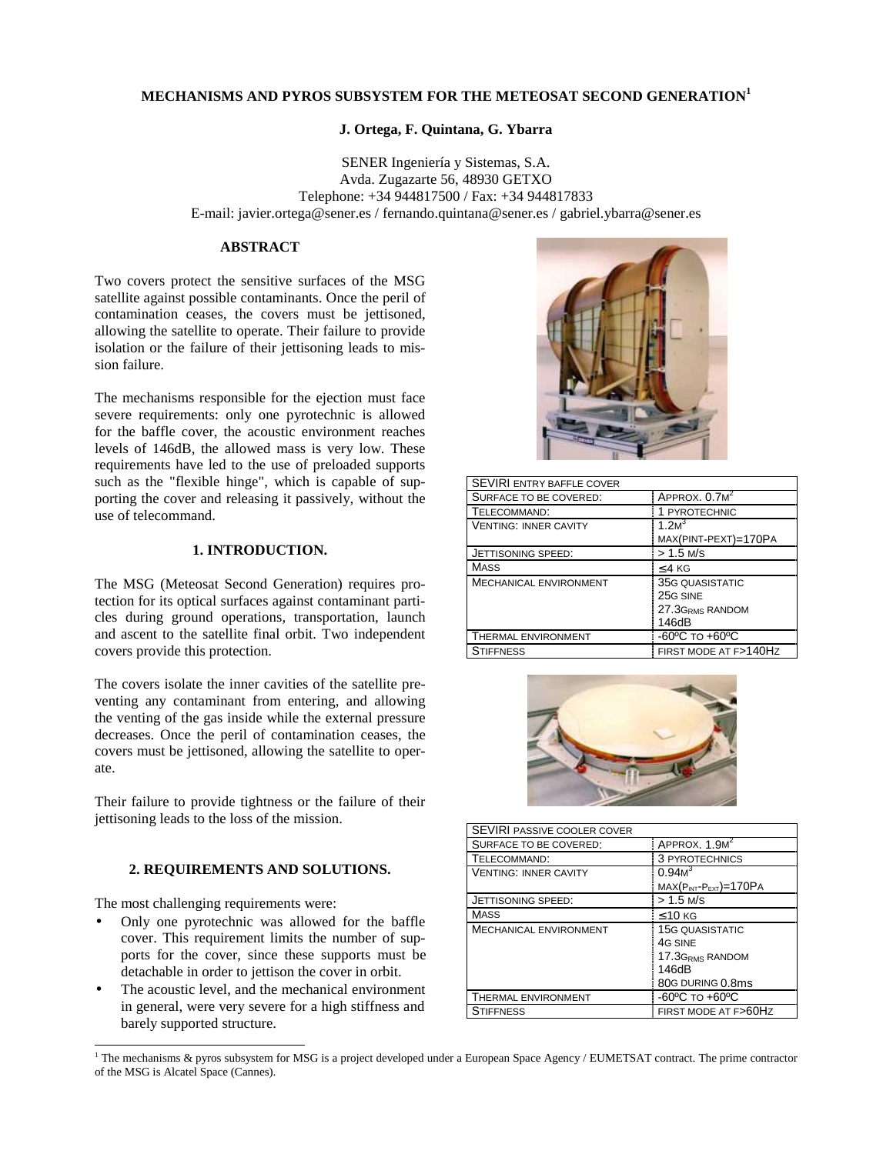# **MECHANISMS AND PYROS SUBSYSTEM FOR THE METEOSAT SECOND GENERATION<sup>1</sup>**

## **J. Ortega, F. Quintana, G. Ybarra**

SENER Ingeniería y Sistemas, S.A. Avda. Zugazarte 56, 48930 GETXO Telephone: +34 944817500 / Fax: +34 944817833 E-mail: javier.ortega@sener.es / fernando.quintana@sener.es / gabriel.ybarra@sener.es

#### **ABSTRACT**

Two covers protect the sensitive surfaces of the MSG satellite against possible contaminants. Once the peril of contamination ceases, the covers must be jettisoned, allowing the satellite to operate. Their failure to provide isolation or the failure of their jettisoning leads to mission failure.

The mechanisms responsible for the ejection must face severe requirements: only one pyrotechnic is allowed for the baffle cover, the acoustic environment reaches levels of 146dB, the allowed mass is very low. These requirements have led to the use of preloaded supports such as the "flexible hinge", which is capable of supporting the cover and releasing it passively, without the use of telecommand.

### **1. INTRODUCTION.**

The MSG (Meteosat Second Generation) requires protection for its optical surfaces against contaminant particles during ground operations, transportation, launch and ascent to the satellite final orbit. Two independent covers provide this protection.

The covers isolate the inner cavities of the satellite preventing any contaminant from entering, and allowing the venting of the gas inside while the external pressure decreases. Once the peril of contamination ceases, the covers must be jettisoned, allowing the satellite to operate.

Their failure to provide tightness or the failure of their jettisoning leads to the loss of the mission.

# **2. REQUIREMENTS AND SOLUTIONS.**

The most challenging requirements were:

- Only one pyrotechnic was allowed for the baffle cover. This requirement limits the number of supports for the cover, since these supports must be detachable in order to jettison the cover in orbit.
- The acoustic level, and the mechanical environment in general, were very severe for a high stiffness and barely supported structure.



| <b>SEVIRI ENTRY BAFFLE COVER</b> |                             |
|----------------------------------|-----------------------------|
| SURFACE TO BE COVERED:           | APPROX. 0.7M <sup>2</sup>   |
| TELECOMMAND:                     | 1 PYROTECHNIC               |
| <b>VENTING: INNER CAVITY</b>     | 1 $2M3$                     |
|                                  | MAX(PINT-PEXT)=170PA        |
| JETTISONING SPEED:               | $> 1.5$ M/S                 |
| <b>MASS</b>                      | $<$ 4 KG                    |
| <b>MECHANICAL ENVIRONMENT</b>    | <b>35G QUASISTATIC</b>      |
|                                  | 25G SINE                    |
|                                  | 27.3G <sub>RMS</sub> RANDOM |
|                                  | 146dB                       |
| <b>THERMAL ENVIRONMENT</b>       | -60°C TO +60°C              |
| <b>STIFFNESS</b>                 | FIRST MODE AT F>140HZ       |



| SEVIRI PASSIVE COOLER COVER   |                                    |
|-------------------------------|------------------------------------|
| SURFACE TO BE COVERED:        | APPROX. 1.9M <sup>2</sup>          |
| TELECOMMAND:                  | 3 PYROTECHNICS                     |
| <b>VENTING: INNER CAVITY</b>  | 0.94M <sup>3</sup>                 |
|                               | $MAX(P_{INT}-P_{EXT})=170PA$       |
| <b>JETTISONING SPEED:</b>     | $> 1.5$ M/S                        |
| MASS                          | $\leq 10$ KG                       |
| <b>MECHANICAL ENVIRONMENT</b> | <b>15G QUASISTATIC</b>             |
|                               | 4G SINE                            |
|                               | 17.3GRMS RANDOM                    |
|                               | 146dB                              |
|                               | 80G DURING 0.8ms                   |
| THERMAL ENVIRONMENT           | $-60^{\circ}$ C TO $+60^{\circ}$ C |
| <b>STIFFNESS</b>              | FIRST MODE AT F>60HZ               |

<sup>&</sup>lt;sup>1</sup> The mechanisms & pyros subsystem for MSG is a project developed under a European Space Agency / EUMETSAT contract. The prime contractor of the MSG is Alcatel Space (Cannes).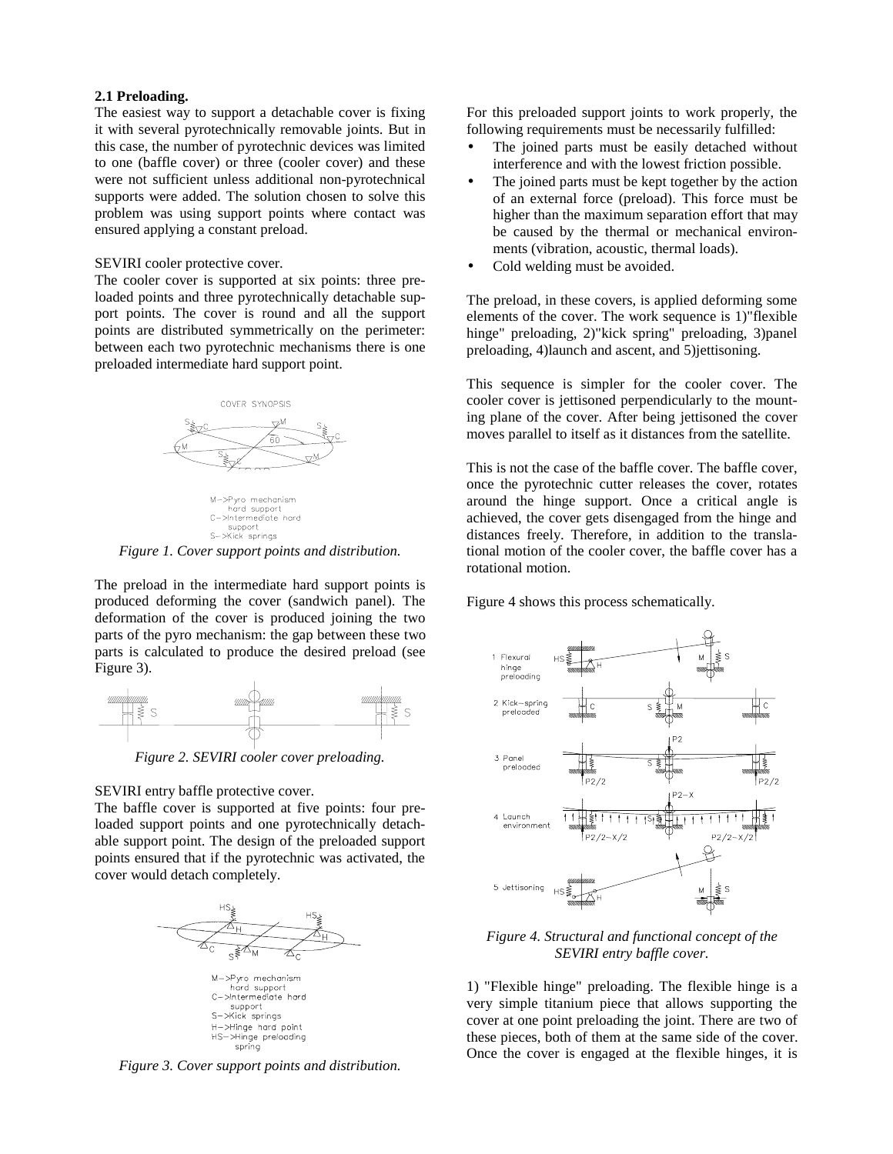#### **2.1 Preloading.**

The easiest way to support a detachable cover is fixing it with several pyrotechnically removable joints. But in this case, the number of pyrotechnic devices was limited to one (baffle cover) or three (cooler cover) and these were not sufficient unless additional non-pyrotechnical supports were added. The solution chosen to solve this problem was using support points where contact was ensured applying a constant preload.

## SEVIRI cooler protective cover.

The cooler cover is supported at six points: three preloaded points and three pyrotechnically detachable support points. The cover is round and all the support points are distributed symmetrically on the perimeter: between each two pyrotechnic mechanisms there is one preloaded intermediate hard support point.



M->Pyro mechanism<br>hard support C->Intermediate\_hard support<br>S->Kick springs

*Figure 1. Cover support points and distribution.*

The preload in the intermediate hard support points is produced deforming the cover (sandwich panel). The deformation of the cover is produced joining the two parts of the pyro mechanism: the gap between these two parts is calculated to produce the desired preload (see Figure 3).



*Figure 2. SEVIRI cooler cover preloading.*

#### SEVIRI entry baffle protective cover.

The baffle cover is supported at five points: four preloaded support points and one pyrotechnically detachable support point. The design of the preloaded support points ensured that if the pyrotechnic was activated, the cover would detach completely.



*Figure 3. Cover support points and distribution.*

For this preloaded support joints to work properly, the following requirements must be necessarily fulfilled:

- The joined parts must be easily detached without interference and with the lowest friction possible.
- The joined parts must be kept together by the action of an external force (preload). This force must be higher than the maximum separation effort that may be caused by the thermal or mechanical environments (vibration, acoustic, thermal loads).
- Cold welding must be avoided.

The preload, in these covers, is applied deforming some elements of the cover. The work sequence is 1)"flexible hinge" preloading, 2)"kick spring" preloading, 3)panel preloading, 4)launch and ascent, and 5)jettisoning.

This sequence is simpler for the cooler cover. The cooler cover is jettisoned perpendicularly to the mounting plane of the cover. After being jettisoned the cover moves parallel to itself as it distances from the satellite.

This is not the case of the baffle cover. The baffle cover, once the pyrotechnic cutter releases the cover, rotates around the hinge support. Once a critical angle is achieved, the cover gets disengaged from the hinge and distances freely. Therefore, in addition to the translational motion of the cooler cover, the baffle cover has a rotational motion.

Figure 4 shows this process schematically.



*Figure 4. Structural and functional concept of the SEVIRI entry baffle cover.*

1) "Flexible hinge" preloading. The flexible hinge is a very simple titanium piece that allows supporting the cover at one point preloading the joint. There are two of these pieces, both of them at the same side of the cover. Once the cover is engaged at the flexible hinges, it is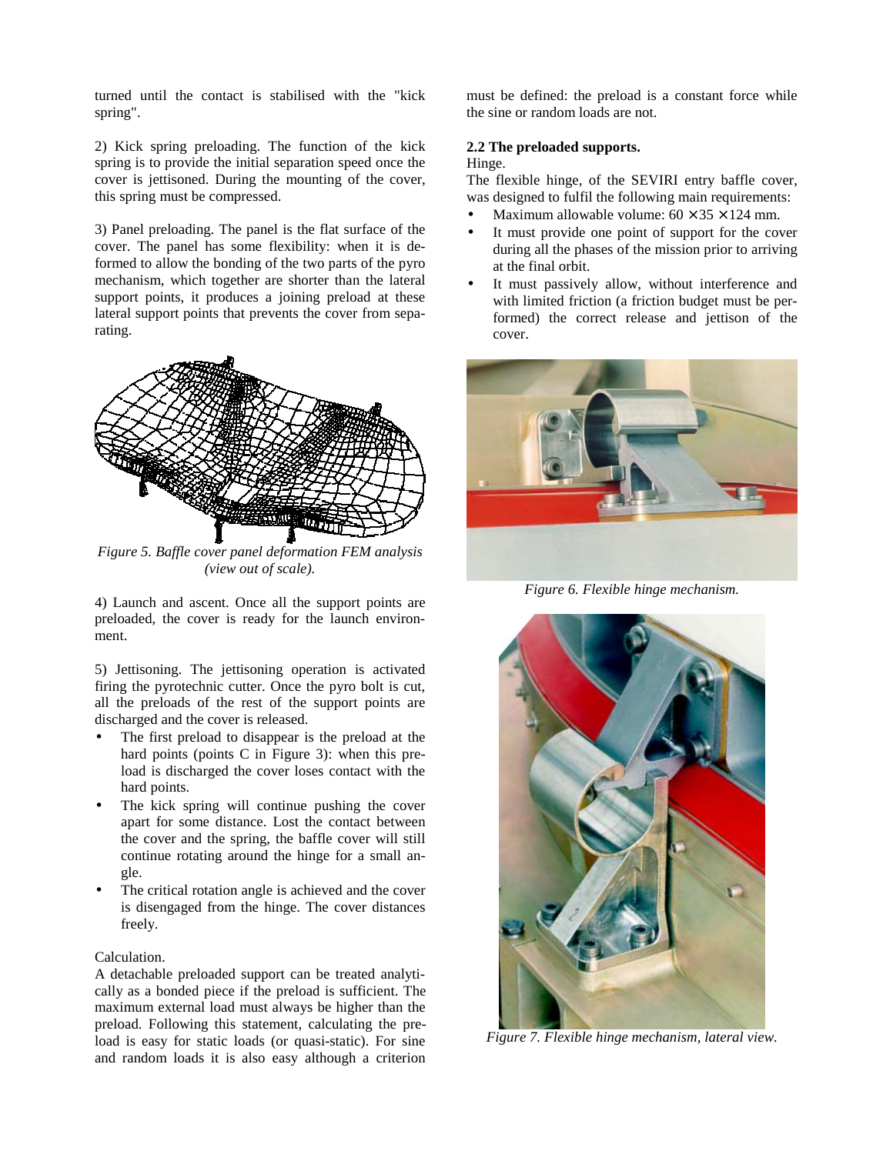turned until the contact is stabilised with the "kick spring".

2) Kick spring preloading. The function of the kick spring is to provide the initial separation speed once the cover is jettisoned. During the mounting of the cover, this spring must be compressed.

3) Panel preloading. The panel is the flat surface of the cover. The panel has some flexibility: when it is deformed to allow the bonding of the two parts of the pyro mechanism, which together are shorter than the lateral support points, it produces a joining preload at these lateral support points that prevents the cover from separating.



*Figure 5. Baffle cover panel deformation FEM analysis (view out of scale).*

4) Launch and ascent. Once all the support points are preloaded, the cover is ready for the launch environment.

5) Jettisoning. The jettisoning operation is activated firing the pyrotechnic cutter. Once the pyro bolt is cut, all the preloads of the rest of the support points are discharged and the cover is released.

- The first preload to disappear is the preload at the hard points (points C in Figure 3): when this preload is discharged the cover loses contact with the hard points.
- The kick spring will continue pushing the cover apart for some distance. Lost the contact between the cover and the spring, the baffle cover will still continue rotating around the hinge for a small angle.
- The critical rotation angle is achieved and the cover is disengaged from the hinge. The cover distances freely.

#### Calculation.

A detachable preloaded support can be treated analytically as a bonded piece if the preload is sufficient. The maximum external load must always be higher than the preload. Following this statement, calculating the preload is easy for static loads (or quasi-static). For sine and random loads it is also easy although a criterion

must be defined: the preload is a constant force while the sine or random loads are not.

#### **2.2 The preloaded supports.**

#### Hinge.

The flexible hinge, of the SEVIRI entry baffle cover, was designed to fulfil the following main requirements:

- Maximum allowable volume:  $60 \times 35 \times 124$  mm.
- It must provide one point of support for the cover during all the phases of the mission prior to arriving at the final orbit.
- It must passively allow, without interference and with limited friction (a friction budget must be performed) the correct release and jettison of the cover.



*Figure 6. Flexible hinge mechanism.*



*Figure 7. Flexible hinge mechanism, lateral view.*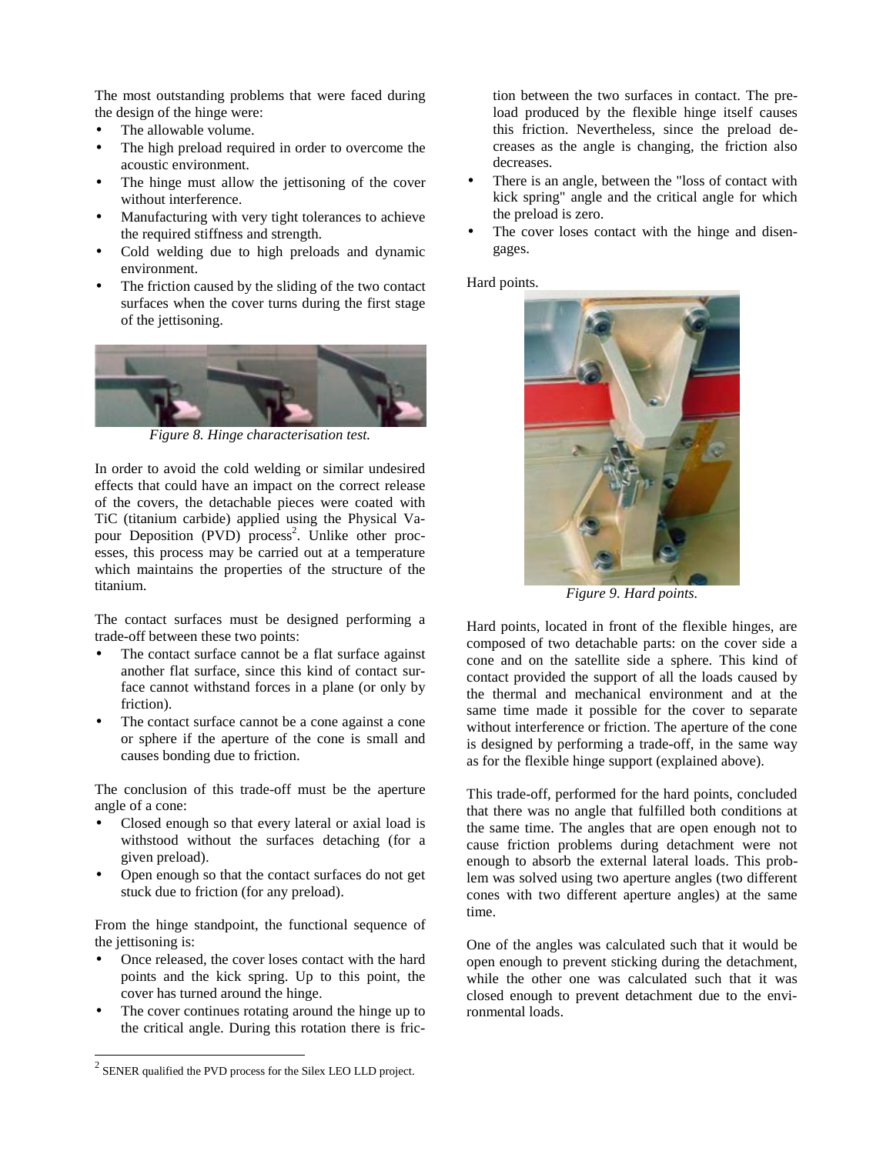The most outstanding problems that were faced during the design of the hinge were:

- The allowable volume.
- The high preload required in order to overcome the acoustic environment.
- The hinge must allow the jettisoning of the cover without interference.
- Manufacturing with very tight tolerances to achieve the required stiffness and strength.
- Cold welding due to high preloads and dynamic environment.
- The friction caused by the sliding of the two contact surfaces when the cover turns during the first stage of the jettisoning.



*Figure 8. Hinge characterisation test.*

In order to avoid the cold welding or similar undesired effects that could have an impact on the correct release of the covers, the detachable pieces were coated with TiC (titanium carbide) applied using the Physical Vapour Deposition (PVD) process<sup>2</sup>. Unlike other processes, this process may be carried out at a temperature which maintains the properties of the structure of the titanium.

The contact surfaces must be designed performing a trade-off between these two points:

- The contact surface cannot be a flat surface against another flat surface, since this kind of contact surface cannot withstand forces in a plane (or only by friction).
- The contact surface cannot be a cone against a cone or sphere if the aperture of the cone is small and causes bonding due to friction.

The conclusion of this trade-off must be the aperture angle of a cone:

- Closed enough so that every lateral or axial load is withstood without the surfaces detaching (for a given preload).
- Open enough so that the contact surfaces do not get stuck due to friction (for any preload).

From the hinge standpoint, the functional sequence of the jettisoning is:

- Once released, the cover loses contact with the hard points and the kick spring. Up to this point, the cover has turned around the hinge.
- The cover continues rotating around the hinge up to the critical angle. During this rotation there is fric-

tion between the two surfaces in contact. The preload produced by the flexible hinge itself causes this friction. Nevertheless, since the preload decreases as the angle is changing, the friction also decreases.

- There is an angle, between the "loss of contact with" kick spring" angle and the critical angle for which the preload is zero.
- The cover loses contact with the hinge and disengages.

Hard points.



*Figure 9. Hard points.*

Hard points, located in front of the flexible hinges, are composed of two detachable parts: on the cover side a cone and on the satellite side a sphere. This kind of contact provided the support of all the loads caused by the thermal and mechanical environment and at the same time made it possible for the cover to separate without interference or friction. The aperture of the cone is designed by performing a trade-off, in the same way as for the flexible hinge support (explained above).

This trade-off, performed for the hard points, concluded that there was no angle that fulfilled both conditions at the same time. The angles that are open enough not to cause friction problems during detachment were not enough to absorb the external lateral loads. This problem was solved using two aperture angles (two different cones with two different aperture angles) at the same time.

One of the angles was calculated such that it would be open enough to prevent sticking during the detachment, while the other one was calculated such that it was closed enough to prevent detachment due to the environmental loads.

 2 SENER qualified the PVD process for the Silex LEO LLD project.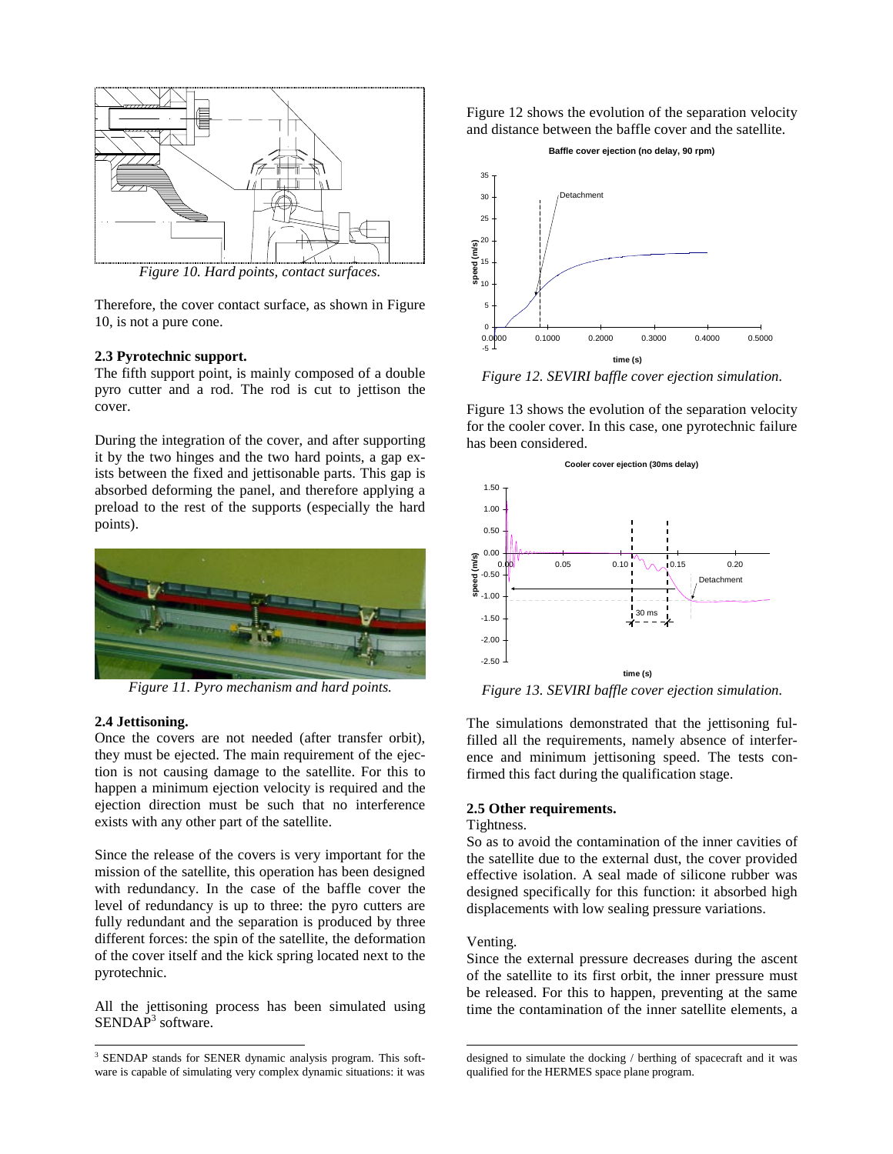

*Figure 10. Hard points, contact surfaces.*

Therefore, the cover contact surface, as shown in Figure 10, is not a pure cone.

#### **2.3 Pyrotechnic support.**

The fifth support point, is mainly composed of a double pyro cutter and a rod. The rod is cut to jettison the cover.

During the integration of the cover, and after supporting it by the two hinges and the two hard points, a gap exists between the fixed and jettisonable parts. This gap is absorbed deforming the panel, and therefore applying a preload to the rest of the supports (especially the hard points).



*Figure 11. Pyro mechanism and hard points.*

#### **2.4 Jettisoning.**

Once the covers are not needed (after transfer orbit), they must be ejected. The main requirement of the ejection is not causing damage to the satellite. For this to happen a minimum ejection velocity is required and the ejection direction must be such that no interference exists with any other part of the satellite.

Since the release of the covers is very important for the mission of the satellite, this operation has been designed with redundancy. In the case of the baffle cover the level of redundancy is up to three: the pyro cutters are fully redundant and the separation is produced by three different forces: the spin of the satellite, the deformation of the cover itself and the kick spring located next to the pyrotechnic.

All the jettisoning process has been simulated using SENDAP<sup>3</sup> software.

Figure 12 shows the evolution of the separation velocity and distance between the baffle cover and the satellite.

#### **Baffle cover ejection (no delay, 90 rpm)**



*Figure 12. SEVIRI baffle cover ejection simulation.*

Figure 13 shows the evolution of the separation velocity for the cooler cover. In this case, one pyrotechnic failure has been considered.



*Figure 13. SEVIRI baffle cover ejection simulation.*

The simulations demonstrated that the jettisoning fulfilled all the requirements, namely absence of interference and minimum jettisoning speed. The tests confirmed this fact during the qualification stage.

### **2.5 Other requirements.**

## Tightness.

So as to avoid the contamination of the inner cavities of the satellite due to the external dust, the cover provided effective isolation. A seal made of silicone rubber was designed specifically for this function: it absorbed high displacements with low sealing pressure variations.

#### Venting.

l

Since the external pressure decreases during the ascent of the satellite to its first orbit, the inner pressure must be released. For this to happen, preventing at the same time the contamination of the inner satellite elements, a

 3 SENDAP stands for SENER dynamic analysis program. This software is capable of simulating very complex dynamic situations: it was

designed to simulate the docking / berthing of spacecraft and it was qualified for the HERMES space plane program.